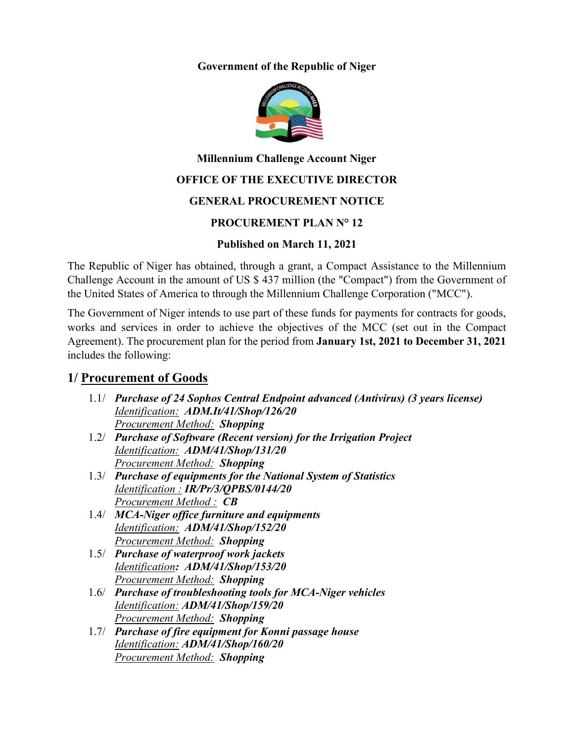#### **Government of the Republic of Niger**



### **Millennium Challenge Account Niger**

## **OFFICE OF THE EXECUTIVE DIRECTOR**

## **GENERAL PROCUREMENT NOTICE**

### **PROCUREMENT PLAN N° 12**

### **Published on March 11, 2021**

The Republic of Niger has obtained, through a grant, a Compact Assistance to the Millennium Challenge Account in the amount of US \$ 437 million (the "Compact") from the Government of the United States of America to through the Millennium Challenge Corporation ("MCC").

The Government of Niger intends to use part of these funds for payments for contracts for goods, works and services in order to achieve the objectives of the MCC (set out in the Compact Agreement). The procurement plan for the period from **January 1st, 2021 to December 31, 2021** includes the following:

# **1/ Procurement of Goods**

- 1.1/ *Purchase of 24 Sophos Central Endpoint advanced (Antivirus) (3 years license) Identification: ADM.It/41/Shop/126/20 Procurement Method: Shopping*
- 1.2/ *Purchase of Software (Recent version) for the Irrigation Project Identification: ADM/41/Shop/131/20 Procurement Method: Shopping*
- 1.3/ *Purchase of equipments for the National System of Statistics Identification : IR/Pr/3/QPBS/0144/20 Procurement Method : CB*
- 1.4/ *MCA-Niger office furniture and equipments Identification: ADM/41/Shop/152/20 Procurement Method: Shopping*
- 1.5/ *Purchase of waterproof work jackets Identification: ADM/41/Shop/153/20 Procurement Method: Shopping*
- 1.6/ *Purchase of troubleshooting tools for MCA-Niger vehicles Identification: ADM/41/Shop/159/20 Procurement Method: Shopping*
- 1.7/ *Purchase of fire equipment for Konni passage house Identification: ADM/41/Shop/160/20 Procurement Method: Shopping*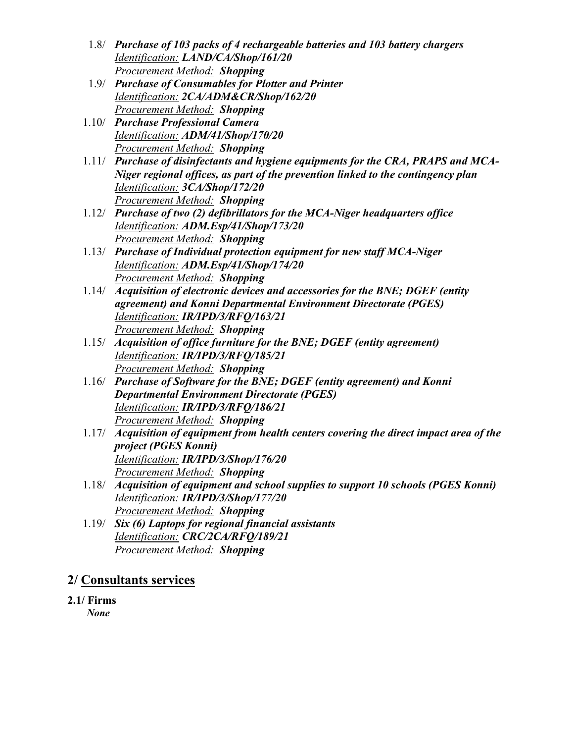- 1.8/ *Purchase of 103 packs of 4 rechargeable batteries and 103 battery chargers Identification: LAND/CA/Shop/161/20 Procurement Method: Shopping*
- 1.9/ *Purchase of Consumables for Plotter and Printer Identification: 2CA/ADM&CR/Shop/162/20 Procurement Method: Shopping*
- 1.10/ *Purchase Professional Camera Identification: ADM/41/Shop/170/20 Procurement Method: Shopping*
- 1.11/ *Purchase of disinfectants and hygiene equipments for the CRA, PRAPS and MCA-Niger regional offices, as part of the prevention linked to the contingency plan Identification: 3CA/Shop/172/20 Procurement Method: Shopping*
- 1.12/ *Purchase of two (2) defibrillators for the MCA-Niger headquarters office Identification: ADM.Esp/41/Shop/173/20 Procurement Method: Shopping*
- 1.13/ *Purchase of Individual protection equipment for new staff MCA-Niger Identification: ADM.Esp/41/Shop/174/20 Procurement Method: Shopping*
- 1.14/ *Acquisition of electronic devices and accessories for the BNE; DGEF (entity agreement) and Konni Departmental Environment Directorate (PGES) Identification: IR/IPD/3/RFQ/163/21 Procurement Method: Shopping*
- 1.15/ *Acquisition of office furniture for the BNE; DGEF (entity agreement) Identification: IR/IPD/3/RFQ/185/21 Procurement Method: Shopping*
- 1.16/ *Purchase of Software for the BNE; DGEF (entity agreement) and Konni Departmental Environment Directorate (PGES) Identification: IR/IPD/3/RFQ/186/21 Procurement Method: Shopping*
- 1.17/ *Acquisition of equipment from health centers covering the direct impact area of the project (PGES Konni) Identification: IR/IPD/3/Shop/176/20 Procurement Method: Shopping*
- 1.18/ *Acquisition of equipment and school supplies to support 10 schools (PGES Konni) Identification: IR/IPD/3/Shop/177/20 Procurement Method: Shopping*
- 1.19/ *Six (6) Laptops for regional financial assistants Identification: CRC/2CA/RFQ/189/21 Procurement Method: Shopping*

# **2/ Consultants services**

**2.1/ Firms** *None*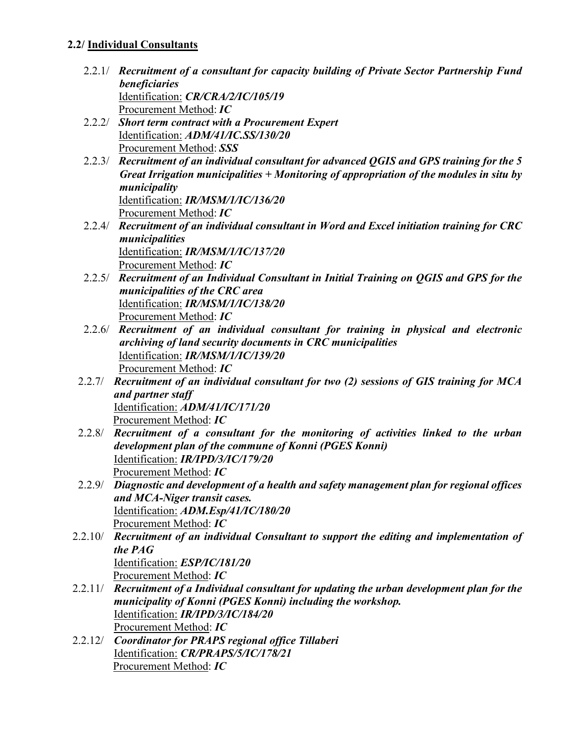### **2.2/ Individual Consultants**

- 2.2.1/ *Recruitment of a consultant for capacity building of Private Sector Partnership Fund beneficiaries* Identification: *CR/CRA/2/IC/105/19* Procurement Method: *IC*
- 2.2.2/ *Short term contract with a Procurement Expert* Identification: *ADM/41/IC.SS/130/20* Procurement Method: *SSS*
- 2.2.3/ *Recruitment of an individual consultant for advanced QGIS and GPS training for the 5 Great Irrigation municipalities + Monitoring of appropriation of the modules in situ by municipality* Identification: *IR/MSM/1/IC/136/20* Procurement Method: *IC*
- 2.2.4/ *Recruitment of an individual consultant in Word and Excel initiation training for CRC municipalities* Identification: *IR/MSM/1/IC/137/20* Procurement Method: *IC*
- 2.2.5/ *Recruitment of an Individual Consultant in Initial Training on QGIS and GPS for the municipalities of the CRC area* Identification: *IR/MSM/1/IC/138/20* Procurement Method: *IC*
- 2.2.6/ *Recruitment of an individual consultant for training in physical and electronic archiving of land security documents in CRC municipalities* Identification: *IR/MSM/1/IC/139/20* Procurement Method: *IC*
- 2.2.7/ *Recruitment of an individual consultant for two (2) sessions of GIS training for MCA and partner staff* Identification: *ADM/41/IC/171/20* Procurement Method: *IC*
- 2.2.8/ *Recruitment of a consultant for the monitoring of activities linked to the urban development plan of the commune of Konni (PGES Konni)*  Identification: *IR/IPD/3/IC/179/20* Procurement Method: *IC*
- 2.2.9/ *Diagnostic and development of a health and safety management plan for regional offices and MCA-Niger transit cases.*  Identification: *ADM.Esp/41/IC/180/20* Procurement Method: *IC*
- 2.2.10/ *Recruitment of an individual Consultant to support the editing and implementation of the PAG* Identification: *ESP/IC/181/20* Procurement Method: *IC*
- 2.2.11/ *Recruitment of a Individual consultant for updating the urban development plan for the municipality of Konni (PGES Konni) including the workshop.*  Identification: *IR/IPD/3/IC/184/20* Procurement Method: *IC*
- 2.2.12/ *Coordinator for PRAPS regional office Tillaberi* Identification: *CR/PRAPS/5/IC/178/21* Procurement Method: *IC*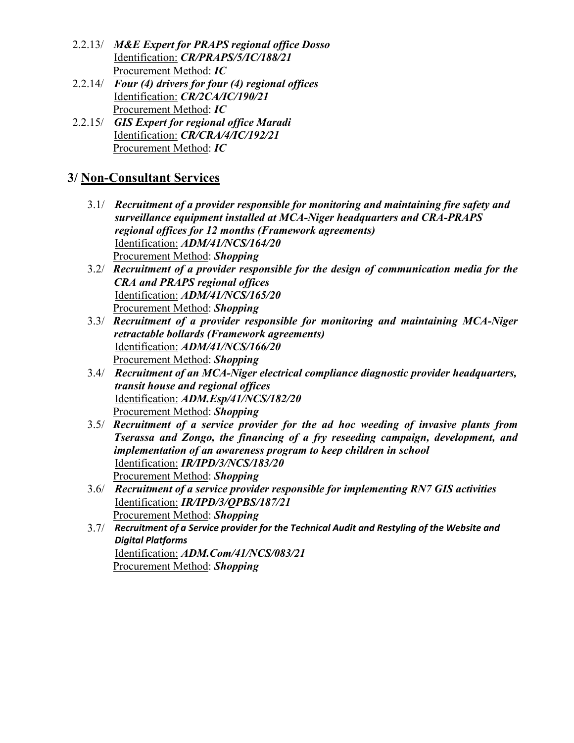- 2.2.13/ *M&E Expert for PRAPS regional office Dosso* Identification: *CR/PRAPS/5/IC/188/21* Procurement Method: *IC*
- 2.2.14/ *Four (4) drivers for four (4) regional offices* Identification: *CR/2CA/IC/190/21* Procurement Method: *IC*
- 2.2.15/ *GIS Expert for regional office Maradi* Identification: *CR/CRA/4/IC/192/21* Procurement Method: *IC*

# **3/ Non-Consultant Services**

- 3.1/ *Recruitment of a provider responsible for monitoring and maintaining fire safety and surveillance equipment installed at MCA-Niger headquarters and CRA-PRAPS regional offices for 12 months (Framework agreements)*  Identification: *ADM/41/NCS/164/20* Procurement Method: *Shopping*
- 3.2/ *Recruitment of a provider responsible for the design of communication media for the CRA and PRAPS regional offices*  Identification: *ADM/41/NCS/165/20* Procurement Method: *Shopping*
- 3.3/ *Recruitment of a provider responsible for monitoring and maintaining MCA-Niger retractable bollards (Framework agreements)* Identification: *ADM/41/NCS/166/20* Procurement Method: *Shopping*
- 3.4/ *Recruitment of an MCA-Niger electrical compliance diagnostic provider headquarters, transit house and regional offices*  Identification: *ADM.Esp/41/NCS/182/20* Procurement Method: *Shopping*
- 3.5/ *Recruitment of a service provider for the ad hoc weeding of invasive plants from Tserassa and Zongo, the financing of a fry reseeding campaign, development, and implementation of an awareness program to keep children in school* Identification: *IR/IPD/3/NCS/183/20* Procurement Method: *Shopping*
- 3.6/ *Recruitment of a service provider responsible for implementing RN7 GIS activities* Identification: *IR/IPD/3/QPBS/187/21* Procurement Method: *Shopping*
- 3.7/ *Recruitment of a Service provider for the Technical Audit and Restyling of the Website and Digital Platforms* Identification: *ADM.Com/41/NCS/083/21* Procurement Method: *Shopping*